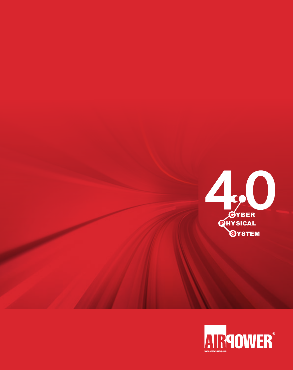

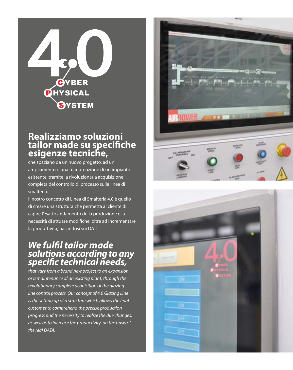

### **Realizziamo soluzioni tailor made su specifiche esigenze tecniche,**

che spaziano da un nuovo progetto, ad un ampliamento o una manutenzione di un impianto esistente, tramite la rivoluzionaria acquisizione completa del controllo di processo sulla linea di smalteria.

Il nostro concetto di Linea di Smalteria 4.0 è quello di creare una struttura che permetta al cliente di capire l'esatto andamento della produzione e la necessità di attuare modifiche, oltre ad incrementare la produttività, basandosi sui DATI.

### *We fulfil tailor made solutions according to any specific technical needs,*

*that vary from a brand new project to an expansion or a maintenance of an existing plant, through the revolutionary complete acquisition of the glazing line control process. Our concept of 4.0 Glazing Line is the setting up of a structure which allows the final customer to comprehend the precise production progress and the necessity to realize the due changes, as well as to increase the productivity on the basis of the real DATA.*



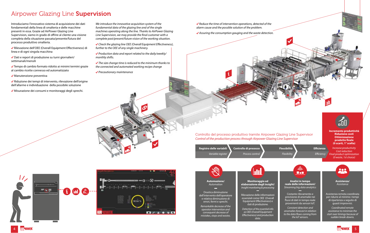**Analisi in tempo reale delle informazioni/** *Streaming big data analytics* **Assistenza/** *Assistance*

**Incremento produttività Riduzione costi Ottimizzazione prodotto finale (0 scarti, 1° scelta)**

*Increase productivity Cost reduction Final product optimization (0 waste, 1st choice)*



Costante rilevamento e previsione di anomalie nei flussi di dati in tempo reale provenienti da sensori IoT.





*Constant detection and anomalies forecast in relation to the data flows coming from the IoT sensors.*



Assistenza remota coordinata per ridurre al minimo i tempi di ripartenza a seguito di guasti improvvisi.

*Coordinated remote assistance to minimize the start over timings because of sudden break-downs.*

**Registro delle variabili**





**Controllo di processo**

**Flessibilità** *Flexibility*

**Efficienza**

*Efficiency*



 *Reduce the time of intervention operations, detected of the alarm cause and the possible solution of the problem.*

 *Assuring the consumption gauging and the waste detection.*

Controllo del processo produttivo tramite Airpower Glazing Line Supervisor *Control of the production process through Airpower Glazing Line Supervisor*

# Airpower Glazing Line Supervision

Introduciamo l'innovativo sistema di acquisizione dei dati fondamentali della linea di smalteria e delle macchine presenti in essa. Grazie ad AirPower Glazing Line Supervision, siamo in grado di offrire al cliente una visione completa della situazione passata/presente/futura del processo produttivo smalteria.

 Rilevazione dell'OEE (Overall Equipment Effectiveness) di linea e di ogni singola macchina

 Dati e report di produzione su turni giornalieri/ settimanali/mensili

 Tempo di cambio formato ridotto ai minimi termini grazie al cambio ricette connesso ed automatizzato

 $\sqrt{\frac{1}{2}}$ Manutenzione preventiva

 Riduzione dei tempi di intervento, rilevazione dell'origine dell'allarme e individuazione della possibile soluzione

◆ Misurazione dei consumi e monitoraggi degli sprechi.

*We introduce the innovative acquisition system of the fundamental data of the glazing line and of the single machines operating along the line. Thanks to AirPower Glazing Line Supervision, we may provide the final customer with a complete past/present/future vision of the working situation.*

 *Check the glazing line OEE (Overall Equipment Effectiveness), further to the OEE of any single machinery.*

 *Production data and report related to the daily/weekly/ monthly shifts.*

 *The size change time is reduced to the minimum thanks to the connected and automated working recipe change*

 *Precautionary maintenance*

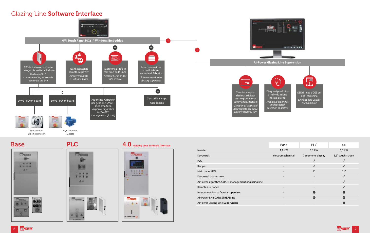Brushless Motors



Motors





### **Base PLC** 4.0 Glazing Line Software Interface



### Glazing Line Software Interface



|                                                      | Base                     | <b>PLC</b>               | 4.0               |
|------------------------------------------------------|--------------------------|--------------------------|-------------------|
| Inverter                                             | 1,1 KW                   | 1,1 KW                   | 1,5 KW            |
| Keyboards                                            | electromechanical        | 7 segments display       | 3,5" touch-screen |
| <b>PLC</b>                                           | $\qquad \qquad$          |                          |                   |
| Recipes                                              |                          |                          |                   |
| Main panel HMI                                       | $\overline{\phantom{a}}$ | 7"                       | 21"               |
| Keyboards alarm show                                 | $\overline{\phantom{a}}$ | $\overline{\phantom{a}}$ |                   |
| AirPower algorithm, SMART management of glazing line | $\overline{\phantom{a}}$ | $\overline{\phantom{0}}$ |                   |
| Remote assistance                                    | $\overline{\phantom{a}}$ | $\overline{\phantom{0}}$ |                   |
| Interconnection to factory supervisor                | $\overline{\phantom{a}}$ | e                        | e                 |
| Air Power Live DATA STREAMing                        | $\overline{\phantom{0}}$ | G                        | Œ                 |
| AirPower Glazing Line Supervision                    |                          |                          | Œ.                |

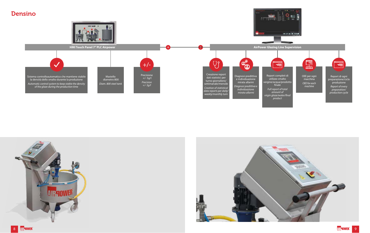Report di ogni preparazione/ciclo produzione

 $\equiv$ 

*Report of every preparation/ production cycle*

*product*

開

OEE per ogni macchina *OEE for each machine*







### Densino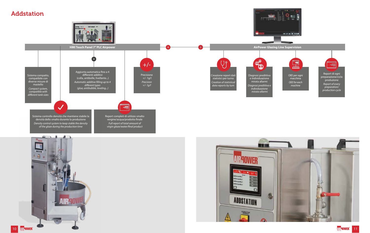



### Addstation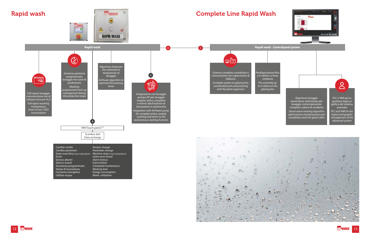### Complete Line Rapid Wash

# Rapid wash



 $\circ$ 

**AIR ROWER** 

o



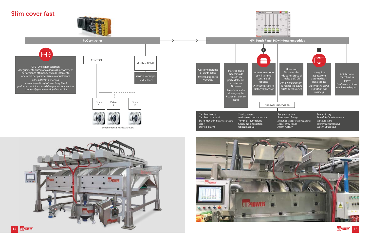# Slim cover fast













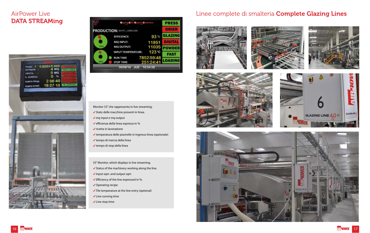# DATA STREAMing



|                                    | Control Unterface                   |                         | <b>PRESS</b>   |
|------------------------------------|-------------------------------------|-------------------------|----------------|
| <b>PRODUCTION: WHITE_1200X1200</b> |                                     |                         | <b>DRIER</b>   |
|                                    | <b>EFFICIENCY:</b>                  | 93%                     | <b>GLAZING</b> |
|                                    | MQ INPUT:                           | 11851                   | <b>DIGITAL</b> |
| 事罰                                 | <b>MQ OUTPUT:</b>                   | 11035                   | <b>POWDER</b>  |
|                                    | <b>INPUT TEMPERATURE:</b>           | $123^\circ$ C           | FAST           |
| W                                  | <b>RUN TIME</b><br><b>STOP TIME</b> | 7852.59.48<br>251 24 41 | <b>LOADING</b> |
|                                    | 30/08/18<br>alue                    | 16:54:58                |                |

### Monitor 55" che rappresenta in live streaming:

- ◆ Stato delle macchine presenti in linea.
- $\sqrt{mq}$  input e mq output
- $\blacktriangledown$  efficienza della linea espressa in %
- $\checkmark$  ricetta in lavorazione
- temperatura delle piastrelle in ingresso linea (opzionale)
- tempo di marcia della linea
- tempo di stop della linea
- 55" Monitor, which displays in live streaming.
- $\checkmark$  Status of the machinery working along the line.
- $\checkmark$  Input sqm. and output sqm
- $\blacktriangleright$  Efficiency of the line expressed in %.
- ◆ Operating recipe
- $\checkmark$  Tile temperature at the line entry (optional)
- $\checkmark$  Line running time
- $\checkmark$  Line stop time

# AirPower Live **Lines** Linee complete di smalteria **Complete Glazing Lines**











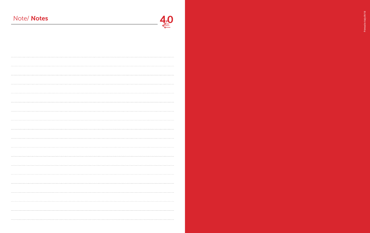# Note/ Notes



Printed in Italy 09/18 Printed in Italy 09/18